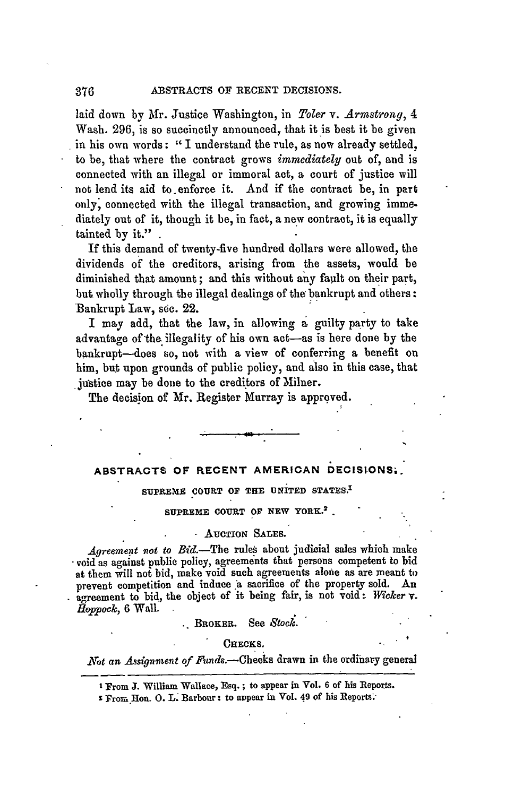laid down **by** Mr. Justice Washington, in *Toler v. Armstrong, 4* Wash. 296, is so succinctly announced, that it is best it be given in his own words: **"I** understand the rule, as now already settled, to be, that where the contract grows *immediately* out of, and is connected with an illegal or immoral act, a court of justice will not lend its aid to.enforce it. And if the contract be, in part only, connected with the illegal transaction, and growing imme. diately out of it, though it be, in fact, a new contract, it is equally tainted **by** it."

If this demand of twenty-five hundred dollars were allowed, the dividends of the creditors, arising from the assets, would be diminished that amount; and this without any fault on their part, but wholly through the illegal dealings of the bankrupt and others: Bankrupt Law, see. 22.

I may add, that the law, in allowing **a** guilty party to take advantage of the illegality of his own act--as is here done by the bankrupt-does so, not with a view of conferring a benefit on him, but upon grounds of public policy, and also in this case, that justice may be done to the creditors of Milner.

The decision of Mr. Register Murray is approved.

# **ABSTRACTS OF RECENT AMERICAN DECIStONS;."**

# **SUPREME** COURT **OF THE UNITED STATES.'**

### SUPREME **COURT** OF **NEW** YORK.2 -

### - AUCTION SALES.

*Agreement not to* Bid.-The rules about judicial sales which make void as against public policy, agreements that persons competent to **bid** at them will not bid, make void such agreements alone as are meant to prevent competition and induce a sacrifice of the property sold. An agreement to bid, the object of it being fair, is not void: Wicker v. *Happock,* **6** Wall.

BROKER. See *Stock.*

#### CHECKS.

Not an Assignment of Funds.--Checks drawn in the ordinary general

**<sup>I</sup>**From J. William Wallace, Esq.; to appear **in** Vol. **6** of his Reports.

**<sup>2</sup>** Frori Hon. **0.** L. Barbour: to appear in Vol. 49 of his Reports;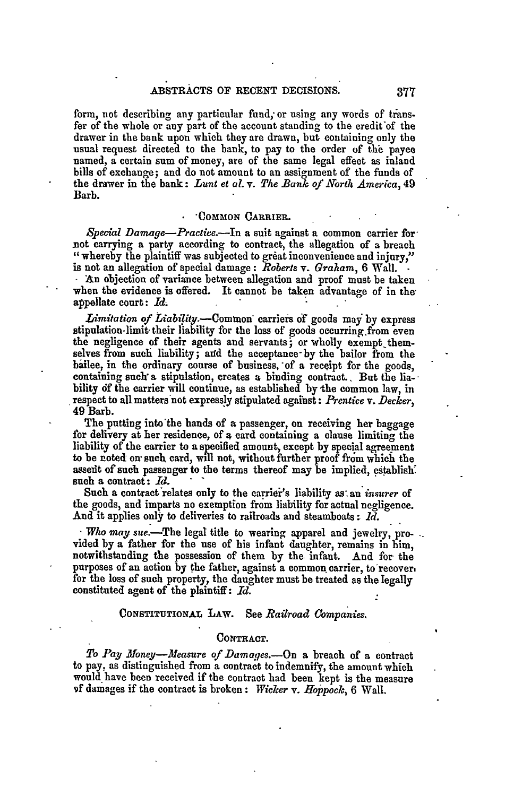form, not describing any particular fund; or using any words of transfer of the whole or any part of the account standing to the credit'of the drawer in the bank upon which they are drawn, but containing only the usual request directed to the bank, to pay to the order of **the** payee named, a certain sum of money, are of the same legal effect as inland bills of exchange; and do not amount to an assignment of the funds of the drawer in the bank: *Lunt et al.* v. *The Bank of North America,* 49 Barb.

### **-COMMON** CARRIER.

*S'pecial Damage-Practice.-In* a suit against a common carrier for not carrying a party according to contract, the allegation of a breach " whereby the plaintiff was subjected to great inconvenience and injury,"

is not an allegation of special damage: *Roberts* v. Graham, **6** Wall. **-** An objection of variance between allegation and proof must be taken when the evidence is offered. It cannot be taken advantage of in **the** appellate court: *Id.*

*Limitation of Liability.-Common'* carriers of goods may **by** express stipulation- limit. their liability for the loss of goods occurring from even the negligence of their agents and servants; or wholly exempt themselves from such liability; and the acceptance-by the bailor from the bailee, in the ordinary course of business, of a receipt for the goods, containing such a stipulation, creates a binding contract. But the liability df the carrier will continue, as established **by** the common law, in respect to allmatters not expressly stipulated against: *Prentice v. Decker,* 49 Barb.

The putting into'the hands of a passenger, on receiving her baggage for delivery at her residence, of a card containing a clause limiting the liability of the carrier to **a** specified amount, except **by** special agreement to be noted **on"** such card, will not, without further proof from **which** the assent of such passenger to the terms thereof may be implied, establish. such a contract: *Id.*

Such a contract'relates only to the carrier's liability **as-** an *insurer* of the goods, and imparts no exemption from liability for actual negligence. **And** it applies only to deliveries to railroads and steamboats: *ld.*

**-** *Who may. sue.* -The legal title to wearing apparel and jewelry, provided by a father for the use of his infant daughter, remains in him, notwithstanding the possession of them by the infant. And for the purposes of an action **by** the father, against a common carrier, to recover, for the loss of such property, the daughter must be treated as the legally constituted agent of the plaintiff: *Id.*

# CONSTITUTIONAL LAW. See *Railroad Companies.*

#### **CONTRACT.**

To Pay Money--Measure of Damages.-- On a breach of a contract to pay, as distinguished from a contract to indemnify, the amount which would have been received if the contract had been kept is the measure **9f** damages if the contract is broken: *Wicker v. Hoppock,* **6** Wall.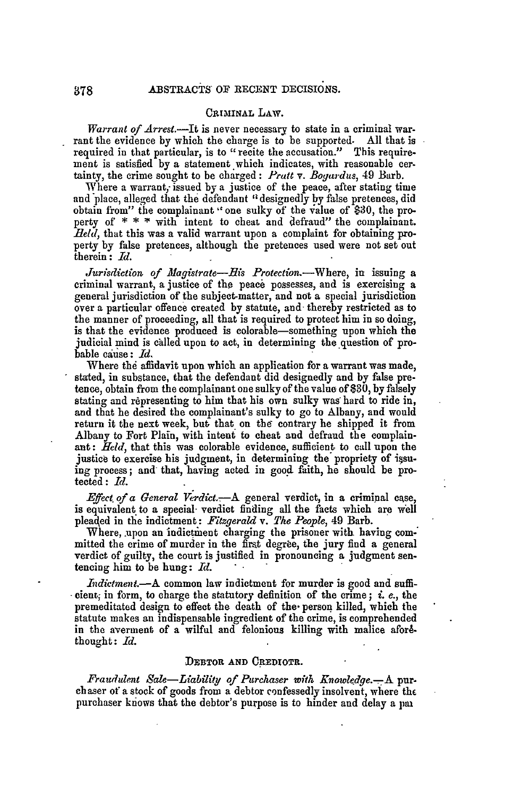## **CRIMINAL** LAW.

*Warrant of Arrest.-It* is never necessary to state in a criminal warrant the evidence by which the charge is to be supported. All that is required **in** that particular, is to "recite the accusation." This requirement is satisfied by a statement which indicates, with reasonable cer. tainty, the crime sought to be charged: *Pratt v. Bogardus,* 49 Barb.

Where a warrant, issued by a justice of the peace, after stating time and place, alleged that the defendant **'1** designedly by false pretences, did obtain from" the complainant "one sulky of the value of \$30, the property of \* \* **\*** with intent to cheat and defraud" the complainant. *field,* that this was a valid warrant upon a complaint for obtaining property by false pretences, although the pretences used were not set out therein : *Id.*

*Jurisdiction of Magistrate-His Protection.*-Where, in issuing a criminal warrant, a justice of the peace possesses, and is exercising a general jurisdiction of the subject-matter, and not a special jurisdiction over a particular offence created by statute, and- thereby restricted as to the manner of proceeding, all that is required to protect him in so doing, is that the evidence produced is colorable-something upon which the judicial mind is called upon to act, in determining the question of probable cause: *Id.*

Where the affidavit upon which an application for a warrant was made, stated, in substance, that the defendant did designedly and by false pretence, obtain from the complainant one sulky of the value of **\$30, by** falsely stating and representing to him that his own sulky was hard to ride in, and that he desired the complainant's sulky to go to Albany, and would return it the next week, but that on the contrary he shipped it from Albany to Fort Plain, with intent to cheat and defraud the complainant: *Held,* that this was colorable evidence, sufficient to call upon the justice to exercise his judgment, in determining the propriety of i§suing process; and that, having acted in good faith, he should be protected: *1d.*

*Effect of a General Verdict -A* general verdict, in a criminal case, is equivalent to a special- verdict finding all the facts which are well pleaqed in the indictment: *Fitzgerald v. The People,* 49 Barb.

Where, upon an indictment charging the prisoner with having com-<br>mitted the crime of murder in the first degree, the jury find a general verdict of guilty, the court is justified in pronouncing a judgment sentencing him to be hung: *Id.*

*Indictment.*—A common law indictment for murder is good and sufficient; in form, to charge the statutory definition of the crime; *i. e.*, the premeditated design to effect the death of the- person killed, which the statute makes an indispensable ingredient of the crime, is comprehended in the averment of a wilful and felonious killing with malice aforethought: *Id.*

## DEBTOR **AND** OREDIOTR.

*Fraudulent Sale-Liability of Purchaser with Knowledge.-A* purchaser of a stock of goods from a debtor confessedly insolvent, where the purchaser knows that the debtor's purpose is to hinder and delay a pai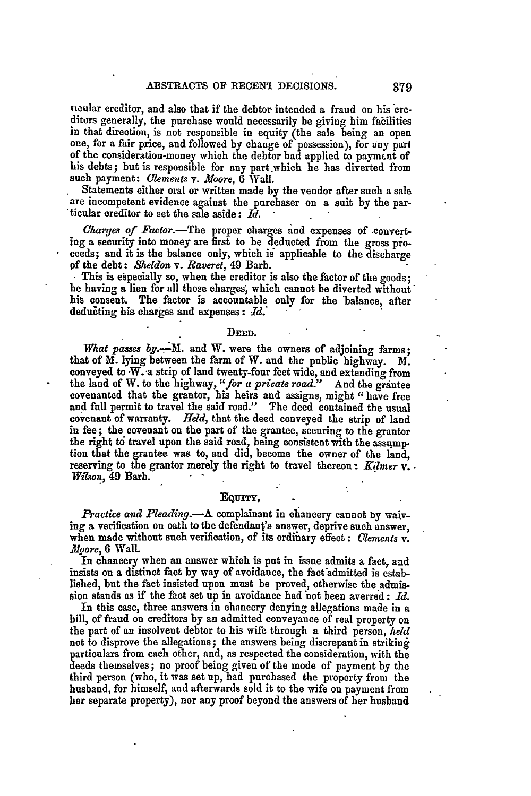ticular creditor, and also that if the debtor intended a fraud on his ere- ditors generally, the purchase would necessarily be giving him fabilities in that direction, is not responsible in equity (the sale being an open one, for a fair price, and followed by change of possession), for any part of the consideration-money which the debtor had applied to payment of his debts; but is responsible for any part which he has diverted from such payment: *Clements* v. *Moore,* 6 Wall.

Statements either oral or written made **by** the vendor after such a sale are incompetent evidence against the purchaser on a suit **by** the par- 'ticular creditor to set the sale aside: *Rd.*

*Charges of Factor.-The* proper charges and expenses of converting a security into money are first to be deducted from the gross proceeds; and it is the balance only, which is applicable to the discharge *of* the debt: *Sheldon v. Raveret,* 49 Barb. **.** This is especially so, when the creditor is also the factor of the goods;

he having a lien for all those charges, which cannot be diverted without' his consent. The factor is accountable only for the balance, after dedudting his charges and expenses: *1d.'*

#### **DEED.**

What passes by.--M. and W. were the owners of adjoining farms; that of M. **lying** between the farm of W. and the public highway. M. conveyed to W.-a strip of land twenty-four feet wide, and extending from the land of W. to the highway, *"for a priate road."* And the grantee covenanted that the grantor, his heirs and assigns, might "have free and full permit to travel the said road." The deed contained the usual covenant of warranty. *Held*, that the deed conveyed the strip of land in fee; the covenant on the part of the grantee, securing to the grantor the right *td* travel upon the said road, being consistent with the assumption that the grantee was to, and did, become the owner of the land, reserving to the grantor merely the right to travel thereon *Kilmer* v. *Wi/son,* 49 Barb.

# **EQUiTY,**

*Practice and Pleading.-A* complainant in chancery cannot **by** waiving a verification on oath to the defendant's answer, deprive such answer, when made without such verification, of its ordinary effect: *Clements* v. *.Atoore,* **6** Wall.

In chancery when an answer which is put in issue admits a fact, and insists on a distinct fact by way of avoidance, the fact admitted is established, but the fact insisted upon must be proved, otherwise the admission stands as if the fact set up in avoidance had "not been averred **:** *Id.*

In this case, three answers in chancery denying allegations made in a bill, of fraud on creditors **by** an admitted conveyance of real property on the part of an insolvent debtor to his wife through a third person, *held* not to disprove the allegations; the answers being discrepant in striking particulars from each other, and, as respected the consideration, with the deeds themselves; no proof being given of the mode of payment **by** the third person (who, it was set up, had purchased the property from the husband, for himself, and afterwards sold it to the wife on payment from her separate property), nor any proof beyond the answers of her husband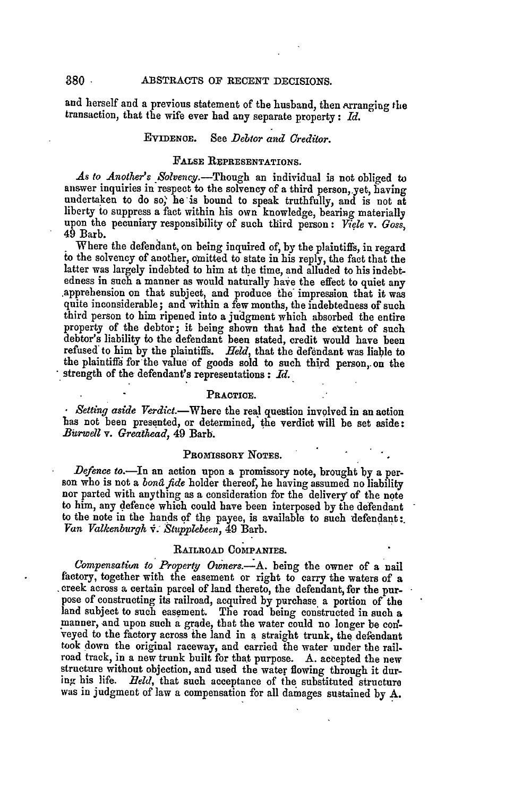### ABSTRACTS OF RECENT DECISIONS.

and herself and a previous statement of the husband, then Arranging the transaction, that the wife ever had any separate property: Id.

### **EVIDENOE.** See *Debtor and Creditor.*

# FALSE REPRESENTATIONS.

As to Another's Solvency.--Though an individual is not obliged to answer inquiries in respect to the solvency of a third person, yet, having undertaken to do so, he-is bound to speak truthfully, and is not at liberty to suppress a fact within his own knowledge, bearing materially upon the pecuniary responsibility of such third person: *Viele v. Goss,* 49 Barb.

Where the defendant, on being inquired of, **by** the plaintiffs, in regard **io** the solvency of another, omnitted to state in his reply, the fact that the latter was largely indebted to him at the time, and alluded to his indebt-<br>edness in such a manner as would naturally have the effect to quiet any apprehension on that subject, and produce the impression that it was quite inconsiderable; and within a few months, the indebtedness of such third person to him ripened into a judgment which absorbed the entire property of the debtor; it being shown that had the extent of such debtor's liability to the defendant been stated, credit would have been refused to him **by** the plaintiffs. *Held,* that the defendant was liable to the plaintiffi for'the value of goods sold to such third person,. on the strength of the defendant's representations **:** *Id.*

### PRACTICE.

**Setting aside Verdict.**-Where the real question involved in an action has not been presented, or determined, the verdict will be set aside: Burwell v. Greathead, 49 Barb.

### PROMISSORY NOTES.

Defence to.—In an action upon a promissory note, brought by a person who is not a *bond fide* holder thereof, he having assumed no liability nor parted with anything as a consideration for the delivery of the note to him, any defence which could have been interposed **by** the defendant to the note in the hands of the payee, is available to such defendant:. *Van Valkenburgh V." tupPZebeen,* 49 Barb.

# **RAILROAD COMPANIES.**

*Compensatiun to Property, Owners.-A.* being the owner of a nail factory, together with the easement or right to carry the waters of a creek across a certain parcel of land thereto, the defendant, for the purpose of constructing its railroad, acquired by purchase a portion of the land subject to such easement. The road being constructed in such a manner, and upon such a grade, that the water could no longer be **cod**veyed to the factory across the land in a straight trunk, the defendant took down the original raceway, and carried the water under the railroad track, in a new trunk built for that purpose. A. accepted the new structure without objection, and used the water flowing through it dur**ing** his life. *Beld,* that such acceptance of **the** substituted structure was in judgment of law a compensation for all damages sustained **by A.**

 $380 -$